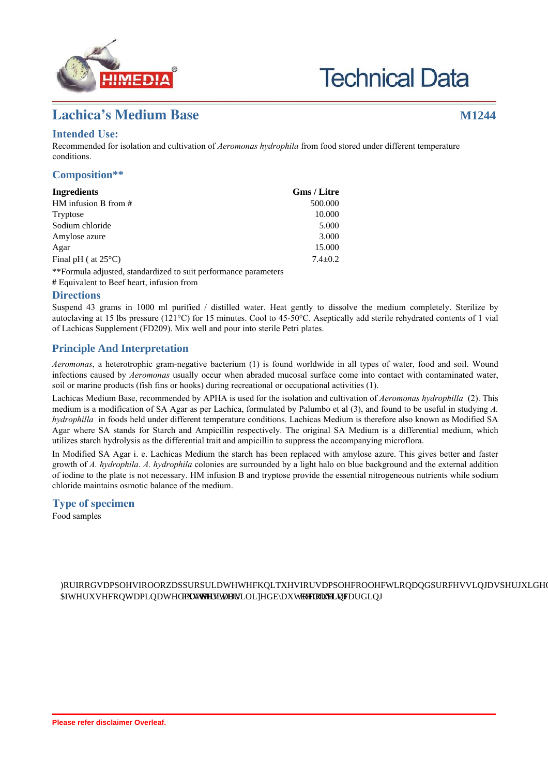

# **Technical Data**

# **Lachica's Medium Base M1244**

## **Intended Use:**

Recommended for isolation and cultivation of *Aeromonas hydrophila* from food stored under different temperature conditions.

#### **Composition\*\***

| Ingredients                   | Gms / Litre   |
|-------------------------------|---------------|
| HM infusion B from $#$        | 500.000       |
| Tryptose                      | 10.000        |
| Sodium chloride               | 5.000         |
| Amylose azure                 | 3.000         |
| Agar                          | 15.000        |
| Final pH ( $at 25^{\circ}$ C) | $7.4 \pm 0.2$ |
| $*E_{\text{c}}$               |               |

\*\*Formula adjusted, standardized to suit performance parameters

# Equivalent to Beef heart, infusion from

#### **Directions**

Suspend 43 grams in 1000 ml purified / distilled water. Heat gently to dissolve the medium completely. Sterilize by autoclaving at 15 lbs pressure (121°C) for 15 minutes. Cool to 45-50°C. Aseptically add sterile rehydrated contents of 1 vial of Lachicas Supplement (FD209). Mix well and pour into sterile Petri plates.

### **Principle And Interpretation**

*Aeromonas*, a heterotrophic gram-negative bacterium (1) is found worldwide in all types of water, food and soil. Wound infections caused by *Aeromonas* usually occur when abraded mucosal surface come into contact with contaminated water, soil or marine products (fish fins or hooks) during recreational or occupational activities (1).

Lachicas Medium Base, recommended by APHA is used for the isolation and cultivation of *Aeromonas hydrophilla* (2). This medium is a modification of SA Agar as per Lachica, formulated by Palumbo et al (3), and found to be useful in studying *A. hydrophilla* in foods held under different temperature conditions. Lachicas Medium is therefore also known as Modified SA Agar where SA stands for Starch and Ampicillin respectively. The original SA Medium is a differential medium, which utilizes starch hydrolysis as the differential trait and ampicillin to suppress the accompanying microflora.

In Modified SA Agar i. e. Lachicas Medium the starch has been replaced with amylose azure. This gives better and faster growth of *A. hydrophila*. *A. hydrophila* colonies are surrounded by a light halo on blue background and the external addition of iodine to the plate is not necessary. HM infusion B and tryptose provide the essential nitrogeneous nutrients while sodium chloride maintains osmotic balance of the medium.

#### **Type of specimen**

Food samples